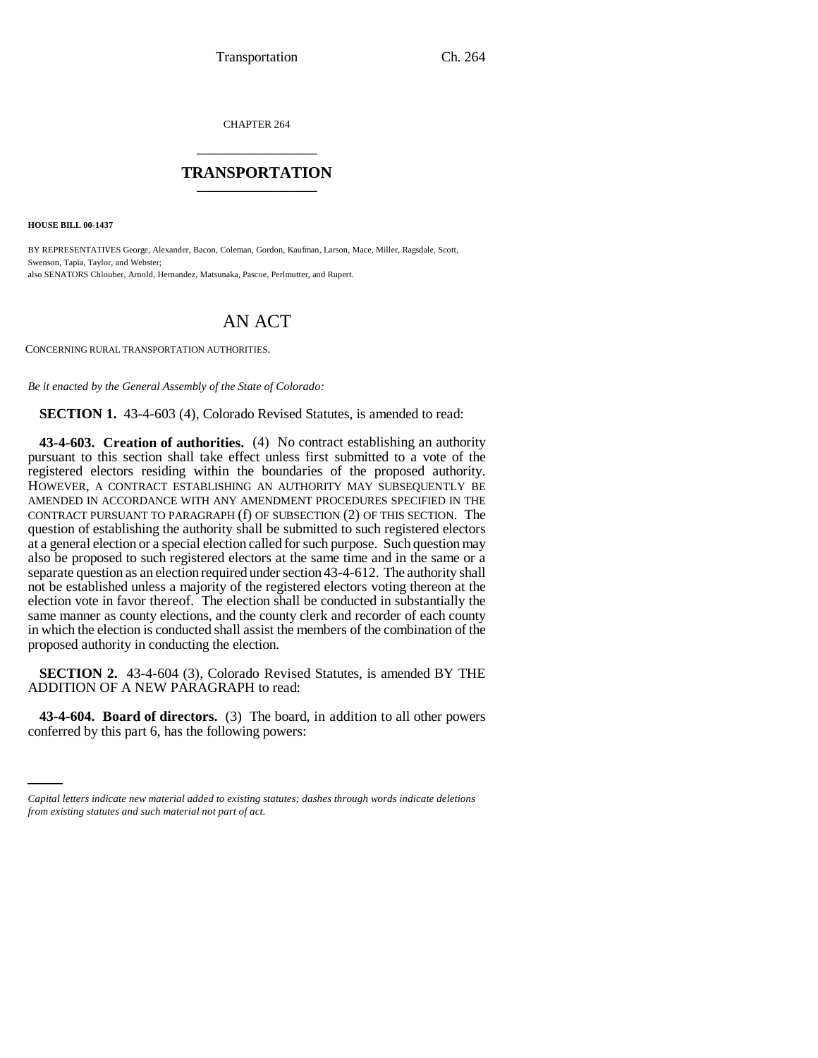CHAPTER 264 \_\_\_\_\_\_\_\_\_\_\_\_\_\_\_

## **TRANSPORTATION** \_\_\_\_\_\_\_\_\_\_\_\_\_\_\_

**HOUSE BILL 00-1437** 

BY REPRESENTATIVES George, Alexander, Bacon, Coleman, Gordon, Kaufman, Larson, Mace, Miller, Ragsdale, Scott, Swenson, Tapia, Taylor, and Webster; also SENATORS Chlouber, Arnold, Hernandez, Matsunaka, Pascoe, Perlmutter, and Rupert.

## AN ACT

CONCERNING RURAL TRANSPORTATION AUTHORITIES.

*Be it enacted by the General Assembly of the State of Colorado:*

**SECTION 1.** 43-4-603 (4), Colorado Revised Statutes, is amended to read:

**43-4-603. Creation of authorities.** (4) No contract establishing an authority pursuant to this section shall take effect unless first submitted to a vote of the registered electors residing within the boundaries of the proposed authority. HOWEVER, A CONTRACT ESTABLISHING AN AUTHORITY MAY SUBSEQUENTLY BE AMENDED IN ACCORDANCE WITH ANY AMENDMENT PROCEDURES SPECIFIED IN THE CONTRACT PURSUANT TO PARAGRAPH (f) OF SUBSECTION (2) OF THIS SECTION. The question of establishing the authority shall be submitted to such registered electors at a general election or a special election called for such purpose. Such question may also be proposed to such registered electors at the same time and in the same or a separate question as an election required under section 43-4-612. The authority shall not be established unless a majority of the registered electors voting thereon at the election vote in favor thereof. The election shall be conducted in substantially the same manner as county elections, and the county clerk and recorder of each county in which the election is conducted shall assist the members of the combination of the proposed authority in conducting the election.

**SECTION 2.** 43-4-604 (3), Colorado Revised Statutes, is amended BY THE ADDITION OF A NEW PARAGRAPH to read:

 **43-4-604. Board of directors.** (3) The board, in addition to all other powers conferred by this part 6, has the following powers:

*Capital letters indicate new material added to existing statutes; dashes through words indicate deletions from existing statutes and such material not part of act.*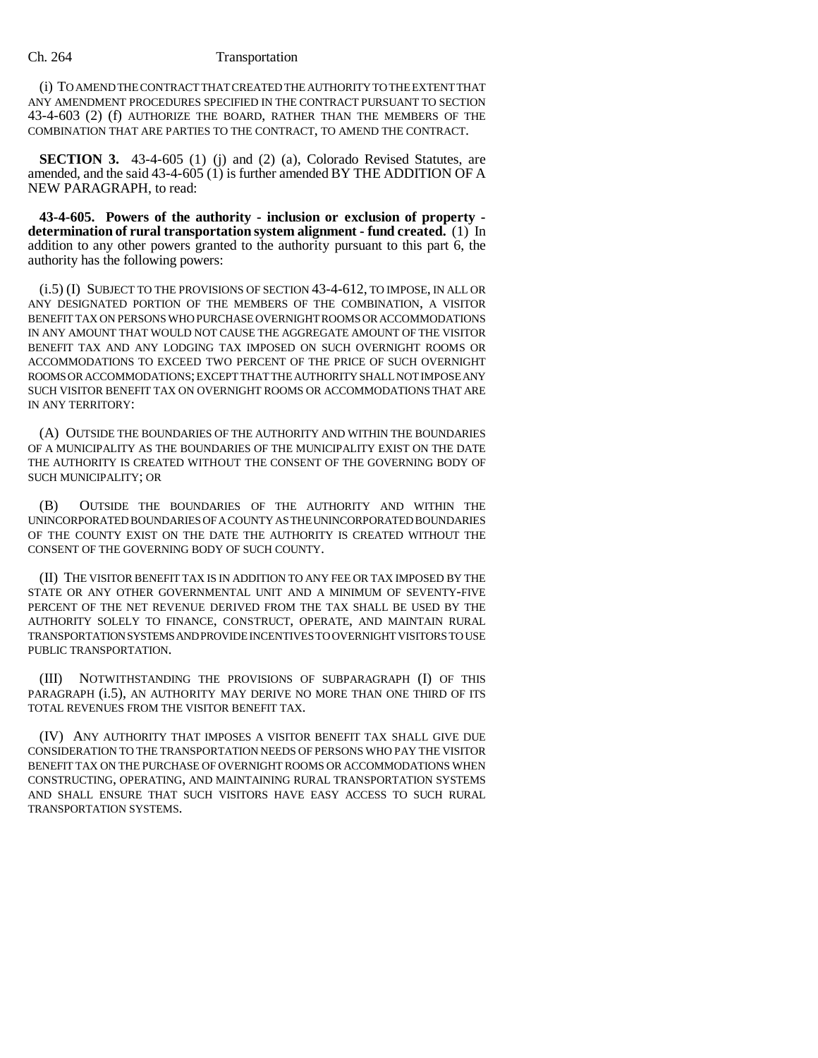## Ch. 264 Transportation

(i) TO AMEND THE CONTRACT THAT CREATED THE AUTHORITY TO THE EXTENT THAT ANY AMENDMENT PROCEDURES SPECIFIED IN THE CONTRACT PURSUANT TO SECTION 43-4-603 (2) (f) AUTHORIZE THE BOARD, RATHER THAN THE MEMBERS OF THE COMBINATION THAT ARE PARTIES TO THE CONTRACT, TO AMEND THE CONTRACT.

**SECTION 3.** 43-4-605 (1) (j) and (2) (a), Colorado Revised Statutes, are amended, and the said 43-4-605 (1) is further amended BY THE ADDITION OF A NEW PARAGRAPH, to read:

**43-4-605. Powers of the authority - inclusion or exclusion of property determination of rural transportation system alignment - fund created.** (1) In addition to any other powers granted to the authority pursuant to this part 6, the authority has the following powers:

(i.5) (I) SUBJECT TO THE PROVISIONS OF SECTION 43-4-612, TO IMPOSE, IN ALL OR ANY DESIGNATED PORTION OF THE MEMBERS OF THE COMBINATION, A VISITOR BENEFIT TAX ON PERSONS WHO PURCHASE OVERNIGHT ROOMS OR ACCOMMODATIONS IN ANY AMOUNT THAT WOULD NOT CAUSE THE AGGREGATE AMOUNT OF THE VISITOR BENEFIT TAX AND ANY LODGING TAX IMPOSED ON SUCH OVERNIGHT ROOMS OR ACCOMMODATIONS TO EXCEED TWO PERCENT OF THE PRICE OF SUCH OVERNIGHT ROOMS OR ACCOMMODATIONS; EXCEPT THAT THE AUTHORITY SHALL NOT IMPOSE ANY SUCH VISITOR BENEFIT TAX ON OVERNIGHT ROOMS OR ACCOMMODATIONS THAT ARE IN ANY TERRITORY:

(A) OUTSIDE THE BOUNDARIES OF THE AUTHORITY AND WITHIN THE BOUNDARIES OF A MUNICIPALITY AS THE BOUNDARIES OF THE MUNICIPALITY EXIST ON THE DATE THE AUTHORITY IS CREATED WITHOUT THE CONSENT OF THE GOVERNING BODY OF SUCH MUNICIPALITY; OR

(B) OUTSIDE THE BOUNDARIES OF THE AUTHORITY AND WITHIN THE UNINCORPORATED BOUNDARIES OF A COUNTY AS THE UNINCORPORATED BOUNDARIES OF THE COUNTY EXIST ON THE DATE THE AUTHORITY IS CREATED WITHOUT THE CONSENT OF THE GOVERNING BODY OF SUCH COUNTY.

(II) THE VISITOR BENEFIT TAX IS IN ADDITION TO ANY FEE OR TAX IMPOSED BY THE STATE OR ANY OTHER GOVERNMENTAL UNIT AND A MINIMUM OF SEVENTY-FIVE PERCENT OF THE NET REVENUE DERIVED FROM THE TAX SHALL BE USED BY THE AUTHORITY SOLELY TO FINANCE, CONSTRUCT, OPERATE, AND MAINTAIN RURAL TRANSPORTATION SYSTEMS AND PROVIDE INCENTIVES TO OVERNIGHT VISITORS TO USE PUBLIC TRANSPORTATION.

(III) NOTWITHSTANDING THE PROVISIONS OF SUBPARAGRAPH (I) OF THIS PARAGRAPH (i.5), AN AUTHORITY MAY DERIVE NO MORE THAN ONE THIRD OF ITS TOTAL REVENUES FROM THE VISITOR BENEFIT TAX.

(IV) ANY AUTHORITY THAT IMPOSES A VISITOR BENEFIT TAX SHALL GIVE DUE CONSIDERATION TO THE TRANSPORTATION NEEDS OF PERSONS WHO PAY THE VISITOR BENEFIT TAX ON THE PURCHASE OF OVERNIGHT ROOMS OR ACCOMMODATIONS WHEN CONSTRUCTING, OPERATING, AND MAINTAINING RURAL TRANSPORTATION SYSTEMS AND SHALL ENSURE THAT SUCH VISITORS HAVE EASY ACCESS TO SUCH RURAL TRANSPORTATION SYSTEMS.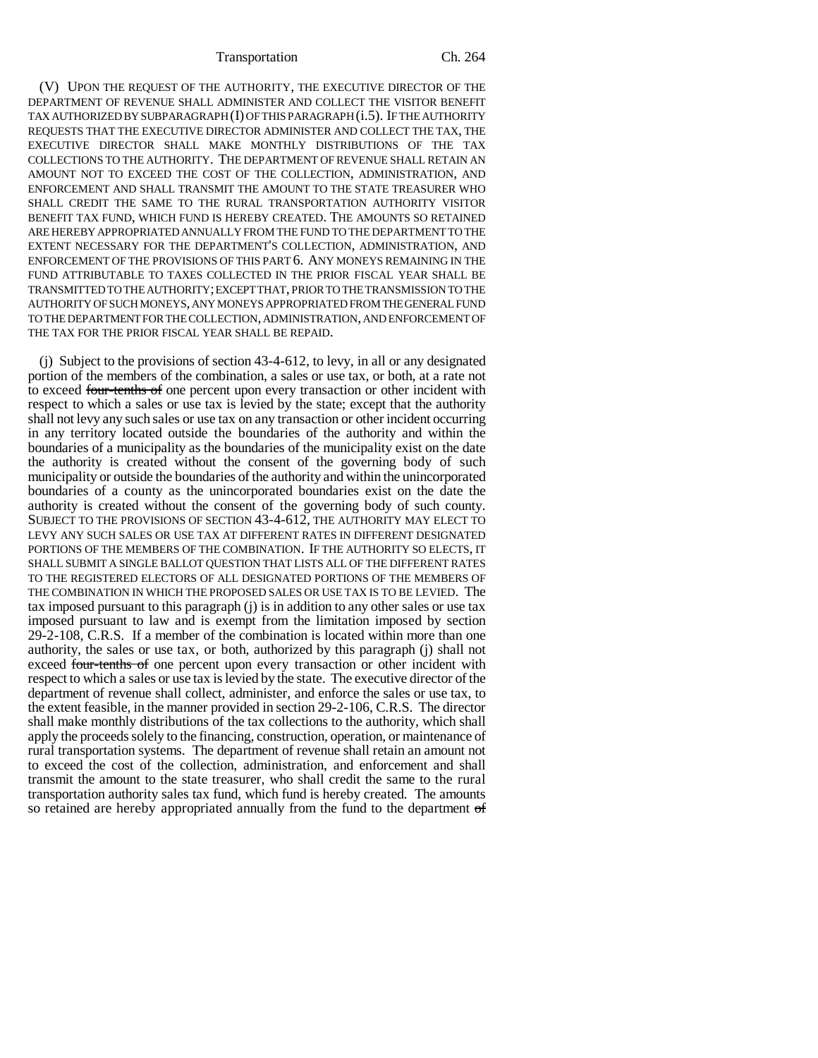(V) UPON THE REQUEST OF THE AUTHORITY, THE EXECUTIVE DIRECTOR OF THE DEPARTMENT OF REVENUE SHALL ADMINISTER AND COLLECT THE VISITOR BENEFIT TAX AUTHORIZED BY SUBPARAGRAPH (I) OF THIS PARAGRAPH (i.5). IF THE AUTHORITY REQUESTS THAT THE EXECUTIVE DIRECTOR ADMINISTER AND COLLECT THE TAX, THE EXECUTIVE DIRECTOR SHALL MAKE MONTHLY DISTRIBUTIONS OF THE TAX COLLECTIONS TO THE AUTHORITY. THE DEPARTMENT OF REVENUE SHALL RETAIN AN AMOUNT NOT TO EXCEED THE COST OF THE COLLECTION, ADMINISTRATION, AND ENFORCEMENT AND SHALL TRANSMIT THE AMOUNT TO THE STATE TREASURER WHO SHALL CREDIT THE SAME TO THE RURAL TRANSPORTATION AUTHORITY VISITOR BENEFIT TAX FUND, WHICH FUND IS HEREBY CREATED. THE AMOUNTS SO RETAINED ARE HEREBY APPROPRIATED ANNUALLY FROM THE FUND TO THE DEPARTMENT TO THE EXTENT NECESSARY FOR THE DEPARTMENT'S COLLECTION, ADMINISTRATION, AND ENFORCEMENT OF THE PROVISIONS OF THIS PART 6. ANY MONEYS REMAINING IN THE FUND ATTRIBUTABLE TO TAXES COLLECTED IN THE PRIOR FISCAL YEAR SHALL BE TRANSMITTED TO THE AUTHORITY; EXCEPT THAT, PRIOR TO THE TRANSMISSION TO THE AUTHORITY OF SUCH MONEYS, ANY MONEYS APPROPRIATED FROM THE GENERAL FUND TO THE DEPARTMENT FOR THE COLLECTION, ADMINISTRATION, AND ENFORCEMENT OF THE TAX FOR THE PRIOR FISCAL YEAR SHALL BE REPAID.

(j) Subject to the provisions of section 43-4-612, to levy, in all or any designated portion of the members of the combination, a sales or use tax, or both, at a rate not to exceed four-tenths of one percent upon every transaction or other incident with respect to which a sales or use tax is levied by the state; except that the authority shall not levy any such sales or use tax on any transaction or other incident occurring in any territory located outside the boundaries of the authority and within the boundaries of a municipality as the boundaries of the municipality exist on the date the authority is created without the consent of the governing body of such municipality or outside the boundaries of the authority and within the unincorporated boundaries of a county as the unincorporated boundaries exist on the date the authority is created without the consent of the governing body of such county. SUBJECT TO THE PROVISIONS OF SECTION 43-4-612, THE AUTHORITY MAY ELECT TO LEVY ANY SUCH SALES OR USE TAX AT DIFFERENT RATES IN DIFFERENT DESIGNATED PORTIONS OF THE MEMBERS OF THE COMBINATION. IF THE AUTHORITY SO ELECTS, IT SHALL SUBMIT A SINGLE BALLOT QUESTION THAT LISTS ALL OF THE DIFFERENT RATES TO THE REGISTERED ELECTORS OF ALL DESIGNATED PORTIONS OF THE MEMBERS OF THE COMBINATION IN WHICH THE PROPOSED SALES OR USE TAX IS TO BE LEVIED. The tax imposed pursuant to this paragraph (j) is in addition to any other sales or use tax imposed pursuant to law and is exempt from the limitation imposed by section 29-2-108, C.R.S. If a member of the combination is located within more than one authority, the sales or use tax, or both, authorized by this paragraph (j) shall not exceed four-tenths of one percent upon every transaction or other incident with respect to which a sales or use tax is levied by the state. The executive director of the department of revenue shall collect, administer, and enforce the sales or use tax, to the extent feasible, in the manner provided in section 29-2-106, C.R.S. The director shall make monthly distributions of the tax collections to the authority, which shall apply the proceeds solely to the financing, construction, operation, or maintenance of rural transportation systems. The department of revenue shall retain an amount not to exceed the cost of the collection, administration, and enforcement and shall transmit the amount to the state treasurer, who shall credit the same to the rural transportation authority sales tax fund, which fund is hereby created. The amounts so retained are hereby appropriated annually from the fund to the department of